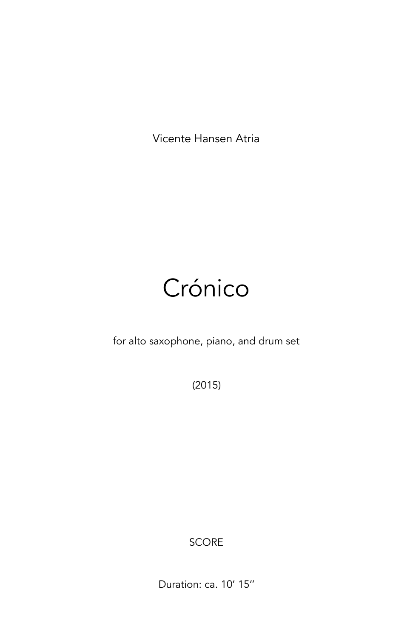Vicente Hansen Atria

# Crónico

for alto saxophone, piano, and drum set

(2015)

## SCORE

## Duration: ca. 10' 15''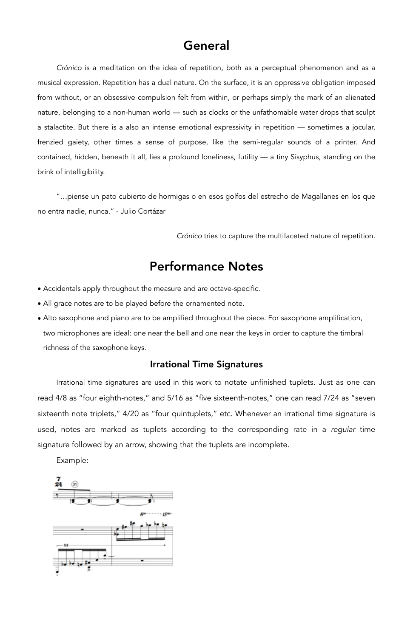## General

*Crónico* is a meditation on the idea of repetition, both as a perceptual phenomenon and as a musical expression. Repetition has a dual nature. On the surface, it is an oppressive obligation imposed from without, or an obsessive compulsion felt from within, or perhaps simply the mark of an alienated nature, belonging to a non-human world — such as clocks or the unfathomable water drops that sculpt a stalactite. But there is a also an intense emotional expressivity in repetition — sometimes a jocular, frenzied gaiety, other times a sense of purpose, like the semi-regular sounds of a printer. And contained, hidden, beneath it all, lies a profound loneliness, futility — a tiny Sisyphus, standing on the brink of intelligibility.

 "…piense un pato cubierto de hormigas o en esos golfos del estrecho de Magallanes en los que no entra nadie, nunca." - Julio Cortázar

*Crónico* tries to capture the multifaceted nature of repetition.

## Performance Notes

- Accidentals apply throughout the measure and are octave-specific.
- All grace notes are to be played before the ornamented note.
- Alto saxophone and piano are to be amplified throughout the piece. For saxophone amplification, two microphones are ideal: one near the bell and one near the keys in order to capture the timbral richness of the saxophone keys.

#### Irrational Time Signatures

 Irrational time signatures are used in this work to notate unfinished tuplets. Just as one can read 4/8 as "four eighth-notes," and 5/16 as "five sixteenth-notes," one can read 7/24 as "seven sixteenth note triplets," 4/20 as "four quintuplets," etc. Whenever an irrational time signature is used, notes are marked as tuplets according to the corresponding rate in a *regular* time signature followed by an arrow, showing that the tuplets are incomplete.

Example:



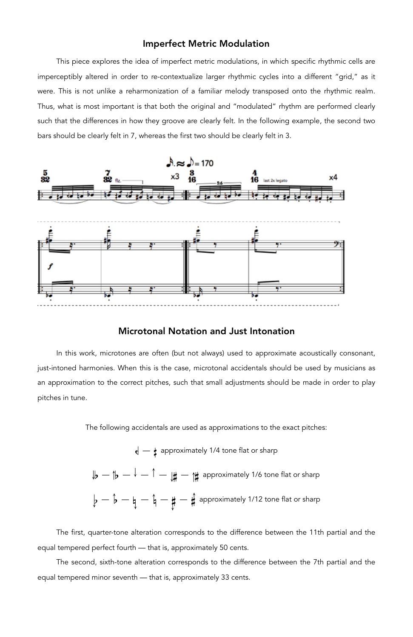#### Imperfect Metric Modulation

 This piece explores the idea of imperfect metric modulations, in which specific rhythmic cells are imperceptibly altered in order to re-contextualize larger rhythmic cycles into a different "grid," as it were. This is not unlike a reharmonization of a familiar melody transposed onto the rhythmic realm. Thus, what is most important is that both the original and "modulated" rhythm are performed clearly such that the differences in how they groove are clearly felt. In the following example, the second two bars should be clearly felt in 7, whereas the first two should be clearly felt in 3.



#### Microtonal Notation and Just Intonation

 In this work, microtones are often (but not always) used to approximate acoustically consonant, just-intoned harmonies. When this is the case, microtonal accidentals should be used by musicians as an approximation to the correct pitches, such that small adjustments should be made in order to play pitches in tune.

The following accidentals are used as approximations to the exact pitches:

 $\frac{1}{\sqrt{2}}$  approximately 1/4 tone flat or sharp

 $\phi = \phi - \phi - \phi - \phi$  approximately 1/6 tone flat or sharp  $\frac{1}{2} - \frac{1}{2} - \frac{1}{4} - \frac{1}{4}$  approximately 1/12 tone flat or sharp

 The first, quarter-tone alteration corresponds to the difference between the 11th partial and the equal tempered perfect fourth — that is, approximately 50 cents.

 The second, sixth-tone alteration corresponds to the difference between the 7th partial and the equal tempered minor seventh — that is, approximately 33 cents.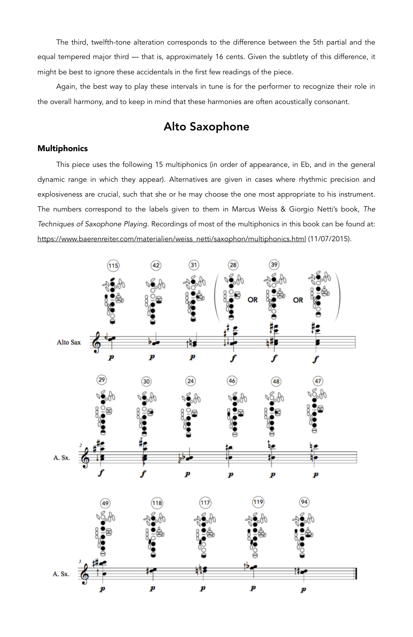The third, twelfth-tone alteration corresponds to the difference between the 5th partial and the equal tempered major third — that is, approximately 16 cents. Given the subtlety of this difference, it might be best to ignore these accidentals in the first few readings of the piece.

 Again, the best way to play these intervals in tune is for the performer to recognize their role in the overall harmony, and to keep in mind that these harmonies are often acoustically consonant.

## Alto Saxophone

#### Multiphonics

 This piece uses the following 15 multiphonics (in order of appearance, in Eb, and in the general dynamic range in which they appear). Alternatives are given in cases where rhythmic precision and explosiveness are crucial, such that she or he may choose the one most appropriate to his instrument. The numbers correspond to the labels given to them in Marcus Weiss & Giorgio Netti's book, *The Techniques of Saxophone Playing.* Recordings of most of the multiphonics in this book can be found at: [https://www.baerenreiter.com/materialien/weiss\\_netti/saxophon/multiphonics.html](https://www.baerenreiter.com/materialien/weiss_netti/saxophon/multiphonics.html) (11/07/2015).



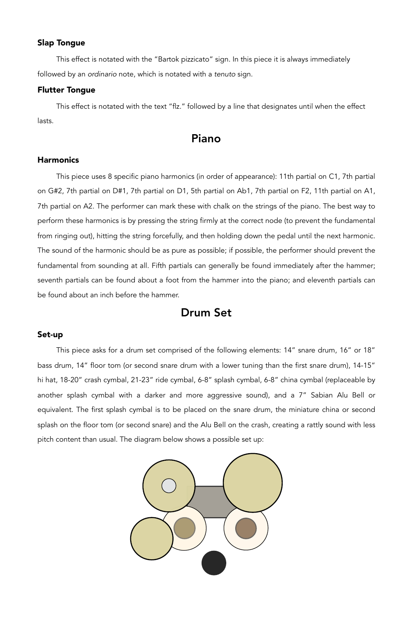#### Slap Tongue

 This effect is notated with the "Bartok pizzicato" sign. In this piece it is always immediately followed by an *ordinario* note, which is notated with a *tenuto* sign.

#### Flutter Tongue

 This effect is notated with the text "flz." followed by a line that designates until when the effect lasts.

## Piano

#### **Harmonics**

 This piece uses 8 specific piano harmonics (in order of appearance): 11th partial on C1, 7th partial on G#2, 7th partial on D#1, 7th partial on D1, 5th partial on Ab1, 7th partial on F2, 11th partial on A1, 7th partial on A2. The performer can mark these with chalk on the strings of the piano. The best way to perform these harmonics is by pressing the string firmly at the correct node (to prevent the fundamental from ringing out), hitting the string forcefully, and then holding down the pedal until the next harmonic. The sound of the harmonic should be as pure as possible; if possible, the performer should prevent the fundamental from sounding at all. Fifth partials can generally be found immediately after the hammer; seventh partials can be found about a foot from the hammer into the piano; and eleventh partials can be found about an inch before the hammer.

### Drum Set

#### Set-up

 This piece asks for a drum set comprised of the following elements: 14" snare drum, 16" or 18" bass drum, 14" floor tom (or second snare drum with a lower tuning than the first snare drum), 14-15" hi hat, 18-20" crash cymbal, 21-23" ride cymbal, 6-8" splash cymbal, 6-8" china cymbal (replaceable by another splash cymbal with a darker and more aggressive sound), and a 7" Sabian Alu Bell or equivalent. The first splash cymbal is to be placed on the snare drum, the miniature china or second splash on the floor tom (or second snare) and the Alu Bell on the crash, creating a rattly sound with less pitch content than usual. The diagram below shows a possible set up:



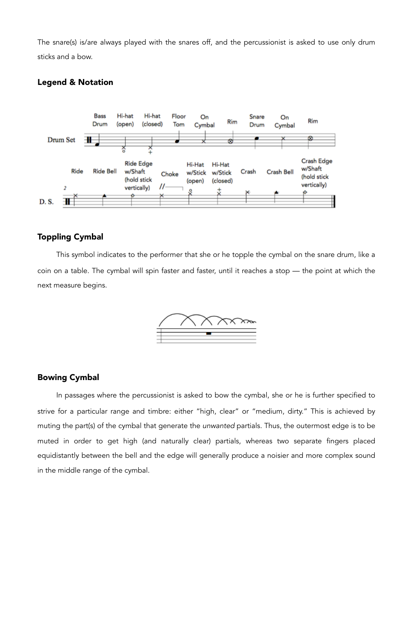The snare(s) is/are always played with the snares off, and the percussionist is asked to use only drum sticks and a bow.

#### Legend & Notation



#### Toppling Cymbal

This symbol indicates to the performer that she or he topple the cymbal on the snare drum, like a coin on a table. The cymbal will spin faster and faster, until it reaches a stop — the point at which the next measure begins.



#### Bowing Cymbal

In passages where the percussionist is asked to bow the cymbal, she or he is further specified to strive for a particular range and timbre: either "high, clear" or "medium, dirty." This is achieved by muting the part(s) of the cymbal that generate the *unwanted* partials. Thus, the outermost edge is to be muted in order to get high (and naturally clear) partials, whereas two separate fingers placed equidistantly between the bell and the edge will generally produce a noisier and more complex sound

in the middle range of the cymbal.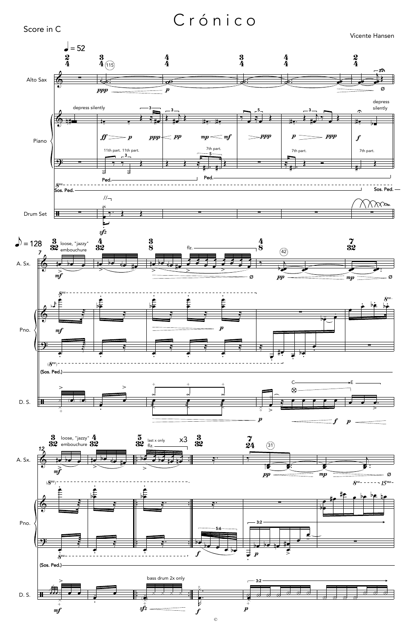

Vicente Hansen



 $\odot$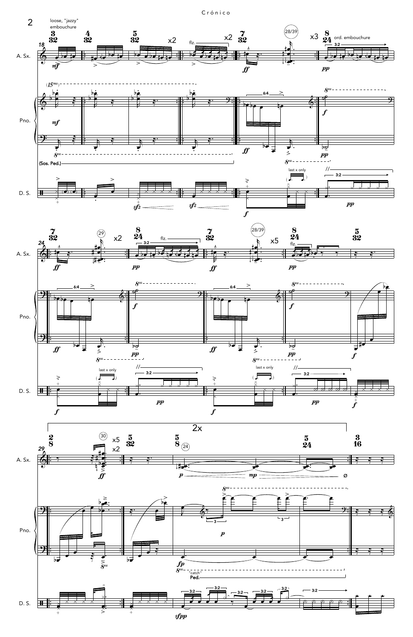







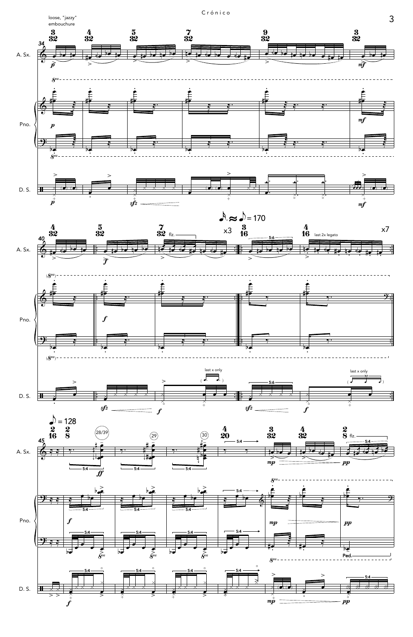

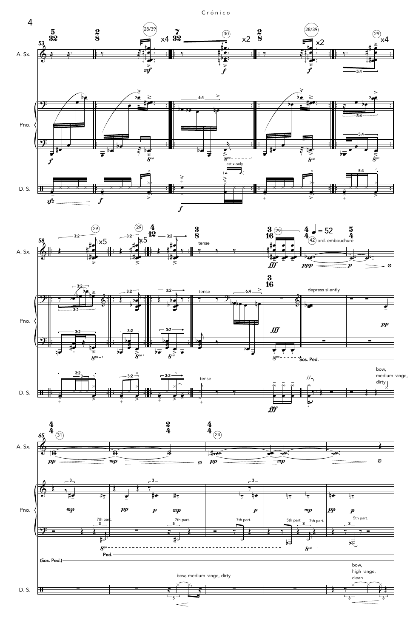Crónico











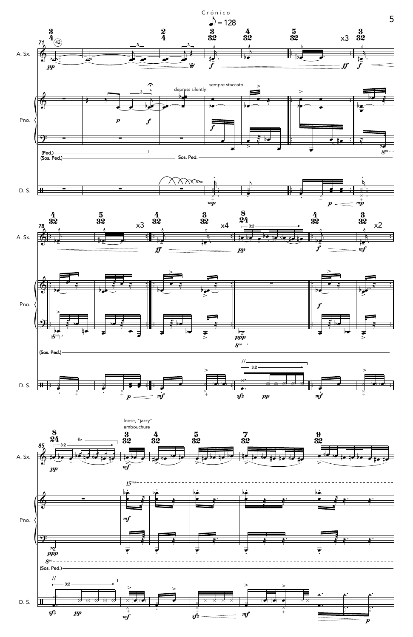



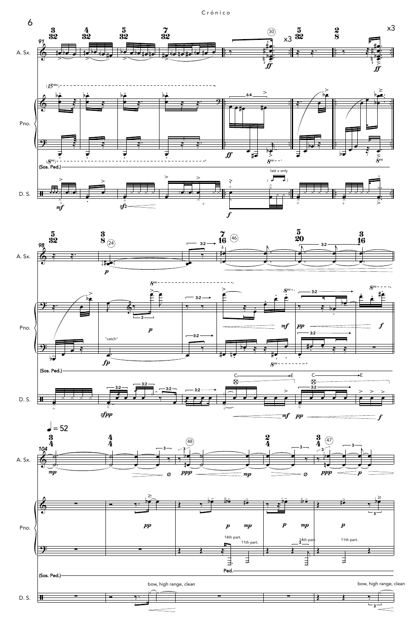



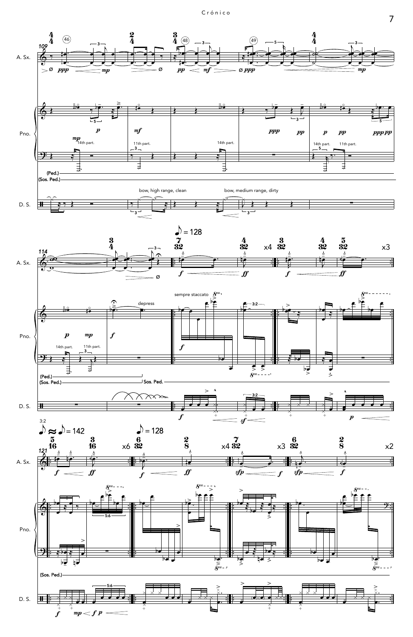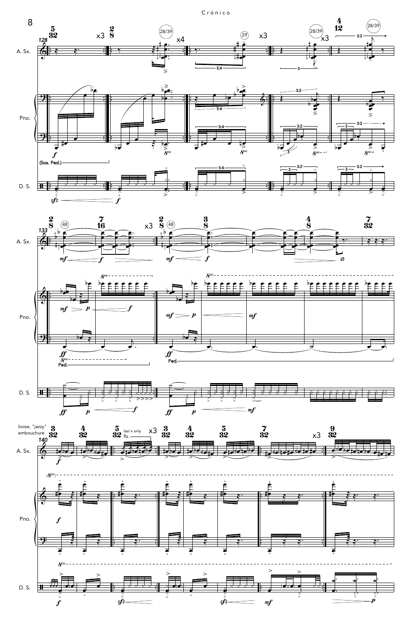







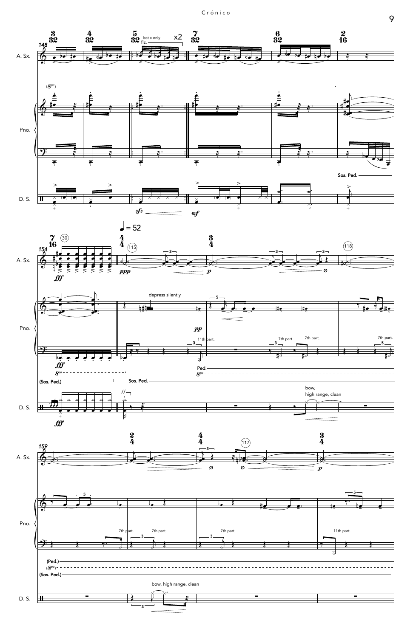

9



A. Sx.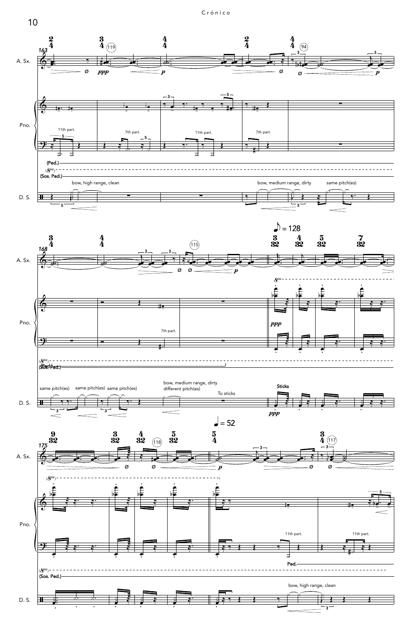



10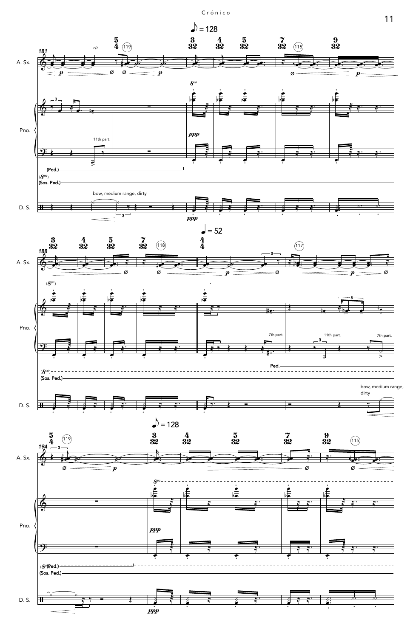



11